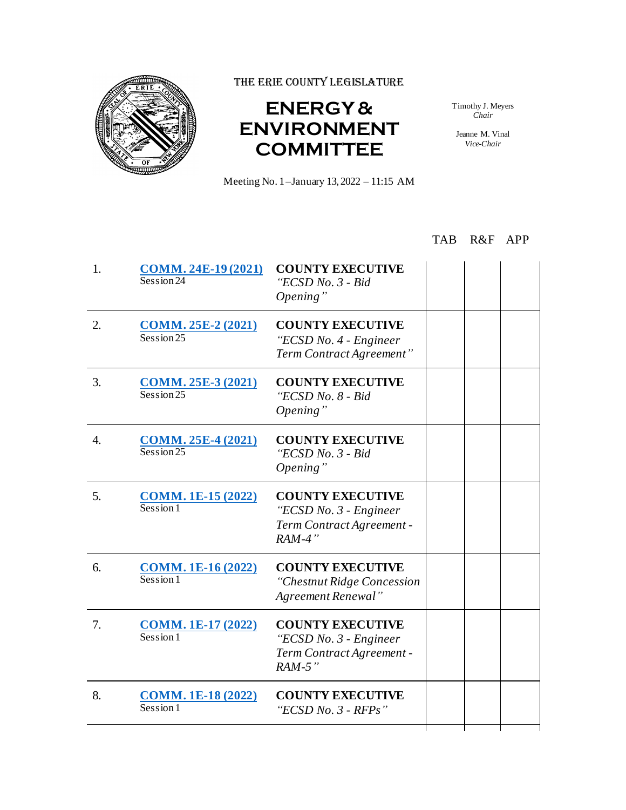

THE ERIE COUNTY LEGISLATURE

## **ENERGY & ENVIRONMENT COMMITTEE**

Meeting No. 1–January 13, 2022 – 11:15 AM

Timothy J. Meyers *Chair*

Jeanne M. Vinal *Vice-Chair*

## TAB R&F APP

| 1. | <b>COMM. 24E-19 (2021)</b><br>Session 24                 | <b>COUNTY EXECUTIVE</b><br>"ECSD No. 3 - Bid<br>Opening"                                   |  |  |
|----|----------------------------------------------------------|--------------------------------------------------------------------------------------------|--|--|
| 2. | <b>COMM. 25E-2 (2021)</b><br>Session 25                  | <b>COUNTY EXECUTIVE</b><br>"ECSD No. 4 - Engineer<br>Term Contract Agreement"              |  |  |
| 3. | <b>COMM. 25E-3 (2021)</b><br>Session 25                  | <b>COUNTY EXECUTIVE</b><br>"ECSD No. 8 - Bid<br>Opening"                                   |  |  |
| 4. | <b>COMM. 25E-4 (2021)</b><br>Session 25                  | <b>COUNTY EXECUTIVE</b><br>"ECSD No. 3 - Bid<br>Opening"                                   |  |  |
| 5. | <b>COMM. 1E-15 (2022)</b><br>$s_{\text{e}}$ <sub>1</sub> | <b>COUNTY EXECUTIVE</b><br>"ECSD No. 3 - Engineer<br>Term Contract Agreement -<br>$RAM-4"$ |  |  |
| 6. | <b>COMM. 1E-16 (2022)</b><br>Session 1                   | <b>COUNTY EXECUTIVE</b><br>"Chestnut Ridge Concession<br>Agreement Renewal"                |  |  |
| 7. | <b>COMM. 1E-17 (2022)</b><br>Session1                    | <b>COUNTY EXECUTIVE</b><br>"ECSD No. 3 - Engineer<br>Term Contract Agreement -<br>$RAM-5"$ |  |  |
| 8. | <b>COMM. 1E-18 (2022)</b><br>Session1                    | <b>COUNTY EXECUTIVE</b><br>"ECSD No. $3$ - RFPs"                                           |  |  |